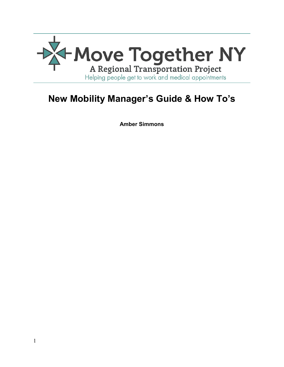

# **New Mobility Manager's Guide & How To's**

**Amber Simmons**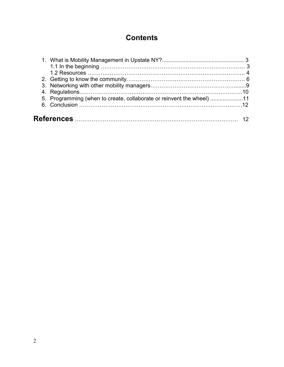## **Contents**

|  | 5. Programming (when to create, collaborate or reinvent the wheel) 11 |  |  |
|--|-----------------------------------------------------------------------|--|--|
|  |                                                                       |  |  |
|  |                                                                       |  |  |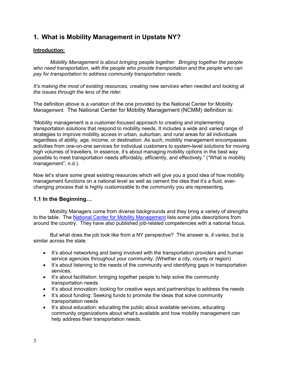### **1. What is Mobility Management in Upstate NY?**

#### **Introduction:**

*Mobility Management is about bringing people together. Bringing together the people who need transportation, with the people who provide transportation and the people who can pay for transportation to address community transportation needs.*

*It's making the most of existing resources, creating new services when needed and looking at the issues through the lens of the rider.*

The definition above is a variation of the one provided by the National Center for Mobility Management. The National Center for Mobility Management (NCMM) definition is:

"Mobility management is a customer-focused approach to creating and implementing transportation solutions that respond to mobility needs. It includes a wide and varied range of strategies to improve mobility access in urban, suburban, and rural areas for all individuals regardless of ability, age, income, or destination. As such, mobility management encompasses activities from one-on-one services for individual customers to system-level solutions for moving high volumes of travellers. In essence, it's about managing mobility options in the best way possible to meet transportation needs affordably, efficiently, and effectively." ("What is mobility management", n.d.).

Now let's share some great existing resources which will give you a good idea of how mobility management functions on a national level as well as cement the idea that it's a fluid, everchanging process that is highly customizable to the community you are representing.

#### **1.1 In the Beginning…**

Mobility Managers come from diverse backgrounds and they bring a variety of strengths to the table. The [National Center for Mobility Management](https://nationalcenterformobilitymanagement.org/) lists some jobs descriptions from around the country. They have also published job-related competencies with a national focus.

But what does the job look like from a NY perspective? The answer is, *it varies,* but is similar across the state.

- It's about networking and being involved with the transportation providers and human service agencies throughout your community. (Whether a city, county or region)
- It's about listening to the needs of the community and identifying gaps in transportation services.
- It's about facilitation: bringing together people to help solve the community transportation needs
- It's about innovation: looking for creative ways and partnerships to address the needs
- It's about funding: Seeking funds to promote the ideas that solve community transportation needs
- It's about education: educating the public about available services, educating community organizations about what's available and how mobility management can help address their transportation needs.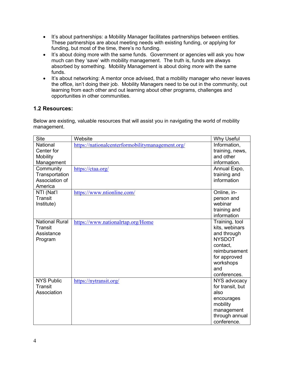- It's about partnerships: a Mobility Manager facilitates partnerships between entities. These partnerships are about meeting needs with existing funding, or applying for funding, but most of the time, there's no funding.
- It's about doing more with the same funds. Government or agencies will ask you how much can they 'save' with mobility management. The truth is, funds are always absorbed by something. Mobility Management is about doing *more* with the same funds.
- It's about networking: A mentor once advised, that a mobility manager who never leaves the office, isn't doing their job. Mobility Managers need to be out in the community, out learning from each other and out learning about other programs, challenges and opportunities in other communities.

#### **1.2 Resources:**

Below are existing, valuable resources that will assist you in navigating the world of mobility management.

| <b>Why Useful</b> |
|-------------------|
| Information,      |
| training, news,   |
| and other         |
| information.      |
| Annual Expo,      |
| training and      |
| information       |
|                   |
| Online, in-       |
| person and        |
| webinar           |
| training and      |
| information       |
| Training, tool    |
| kits, webinars    |
| and through       |
| <b>NYSDOT</b>     |
| contact.          |
| reimbursement     |
| for approved      |
| workshops<br>and  |
| conferences.      |
| NYS advocacy      |
| for transit, but  |
| also              |
| encourages        |
| mobility          |
| management        |
| through annual    |
| conference.       |
|                   |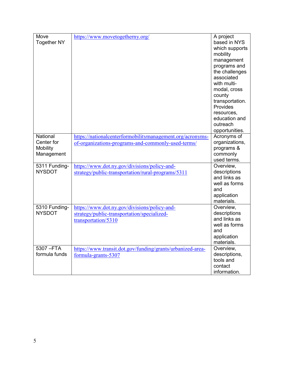| Move                           | https://www.movetogetherny.org/                            | A project                 |
|--------------------------------|------------------------------------------------------------|---------------------------|
| <b>Together NY</b>             |                                                            | based in NYS              |
|                                |                                                            | which supports            |
|                                |                                                            | mobility                  |
|                                |                                                            | management                |
|                                |                                                            | programs and              |
|                                |                                                            | the challenges            |
|                                |                                                            | associated                |
|                                |                                                            | with multi-               |
|                                |                                                            | modal, cross              |
|                                |                                                            | county                    |
|                                |                                                            | transportation.           |
|                                |                                                            | Provides                  |
|                                |                                                            | resources,                |
|                                |                                                            | education and             |
|                                |                                                            | outreach                  |
|                                |                                                            | opportunities.            |
| National                       | https://nationalcenterformobilitymanagement.org/acronyms-  | Acronyms of               |
| Center for                     | of-organizations-programs-and-commonly-used-terms/         | organizations,            |
| Mobility                       |                                                            | programs &                |
| Management                     |                                                            | commonly                  |
|                                |                                                            | used terms.               |
| 5311 Funding-                  | https://www.dot.ny.gov/divisions/policy-and-               | Overview,                 |
| <b>NYSDOT</b>                  | strategy/public-transportation/rural-programs/5311         | descriptions              |
|                                |                                                            | and links as              |
|                                |                                                            | well as forms             |
|                                |                                                            | and                       |
|                                |                                                            | application               |
|                                |                                                            | materials.                |
| 5310 Funding-<br><b>NYSDOT</b> | https://www.dot.ny.gov/divisions/policy-and-               | Overview,<br>descriptions |
|                                | strategy/public-transportation/specialized-                | and links as              |
|                                | transportation/5310                                        | well as forms             |
|                                |                                                            | and                       |
|                                |                                                            | application               |
|                                |                                                            | materials.                |
| $5307 - FTA$                   | https://www.transit.dot.gov/funding/grants/urbanized-area- | Overview,                 |
| formula funds                  | formula-grants-5307                                        | descriptions,             |
|                                |                                                            | tools and                 |
|                                |                                                            | contact                   |
|                                |                                                            | information.              |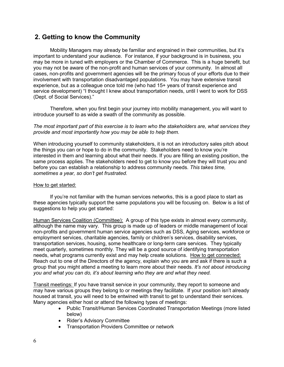### **2. Getting to know the Community**

Mobility Managers may already be familiar and engrained in their communities, but it's important to understand your audience. For instance, if your background is in business, you may be more in tuned with employers or the Chamber of Commerce. This is a huge benefit, but you may not be aware of the non-profit and human services of your community. In almost all cases, non-profits and government agencies will be the primary focus of your efforts due to their involvement with transportation disadvantaged populations. You may have extensive transit experience, but as a colleague once told me (who had 15+ years of transit experience and service development) "I thought I knew about transportation needs, until I went to work for DSS (Dept. of Social Services)."

Therefore, when you first begin your journey into mobility management, you will want to introduce yourself to as wide a swath of the community as possible.

*The most important part of this exercise is to learn who the stakeholders are, what services they provide and most importantly how you may be able to help them.*

When introducing yourself to community stakeholders, it is not an introductory sales pitch about the things you can or hope to do in the community. Stakeholders need to know you're interested in them and learning about what their needs. If you are filling an existing position, the same process applies. The stakeholders need to get to know you before they will trust you and before you can establish a relationship to address community needs. *This takes time, sometimes a year, so don't get frustrated.* 

#### How to get started:

If you're not familiar with the human services networks, this is a good place to start as these agencies typically support the same populations you will be focusing on. Below is a list of suggestions to help you get started:

Human Services Coalition (Committee): A group of this type exists in almost every community, although the name may vary. This group is made up of leaders or middle management of local non-profits and government human service agencies such as DSS, Aging services, workforce or employment services, charitable agencies, family or children's services, disability services, transportation services, housing, some healthcare or long-term care services. They typically meet quarterly, sometimes monthly. They will be a good source of identifying transportation needs, what programs currently exist and may help create solutions. How to get connected: Reach out to one of the Directors of the agency, explain who you are and ask if there is such a group that you might attend a meeting to learn more about their needs. *It's not about introducing you and what you can do, it's about learning who they are and what they need.*

Transit meetings: If you have transit service in your community, they report to someone and may have various groups they belong to or meetings they facilitate. If your position isn't already housed at transit, you will need to be entwined with transit to get to understand their services. Many agencies either host or attend the following types of meetings:

- Public Transit/Human Services Coordinated Transportation Meetings (more listed below)
- Rider's Advisory Committee
- Transportation Providers Committee or network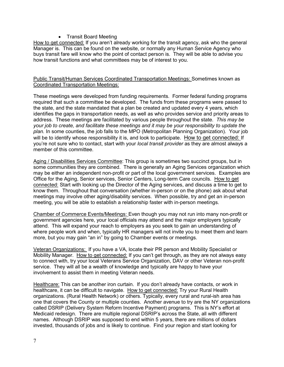• Transit Board Meeting

How to get connected: If you aren't already working for the transit agency, ask who the general Manager is. This can be found on the website, or normally any Human Service Agency who buys transit fare will know who the point of contact person is. They will be able to advise you how transit functions and what committees may be of interest to you.

#### Public Transit/Human Services Coordinated Transportation Meetings: Sometimes known as Coordinated Transportation Meetings:

These meetings were developed from funding requirements. Former federal funding programs required that such a committee be developed. The funds from these programs were passed to the state, and the state mandated that a plan be created and updated every 4 years, which identifies the gaps in transportation needs, as well as who provides service and priority areas to address. These meetings are facilitated by various people throughout the state. *This may be your job to create, and facilitate these meetings and it may be your responsibility to update the plan.* In some counties, the job falls to the MPO (Metropolitan Planning Organization). Your job will be to identify whose responsibility it is, and look to participate. How to get connected: If you're not sure who to contact, start with your *local transit provider* as they are almost always a member of this committee.

Aging / Disabilities Services Committee: This group is sometimes two succinct groups, but in some communities they are combined. There is generally an Aging Services organization which may be either an independent non-profit or part of the local government services. Examples are Office for the Aging, Senior services, Senior Centers, Long-term Care councils. How to get connected: Start with looking up the Director of the Aging services, and discuss a time to get to know them. Throughout that conversation (whether in-person or on the phone) ask about what meetings may involve other aging/disability services. When possible, try and get an in-person meeting, you will be able to establish a relationship faster with in-person meetings.

Chamber of Commerce Events/Meetings: Even though you may not run into many non-profit or government agencies here, your local officials may attend and the major employers typically attend. This will expand your reach to employers as you seek to gain an understanding of where people work and when, typically HR managers will not invite you to meet them and learn more, but you may gain "an in" by going to Chamber events or meetings.

Veteran Organizations: If you have a VA, locate their PR person and Mobility Specialist or Mobility Manager. How to get connected: If you can't get through, as they are not always easy to connect with, try your local Veterans Service Organization, DAV or other Veteran non-profit service. They will all be a wealth of knowledge and typically are happy to have your involvement to assist them in meeting Veteran needs.

Healthcare: This can be another iron curtain. If you don't already have contacts, or work in healthcare, it can be difficult to navigate. How to get connected: Try your Rural Health organizations. (Rural Health Network) or others. Typically, every rural and rural-ish area has one that covers the County or multiple counties. Another avenue to try are the NY organizations called DSRIP (Delivery System Reform Incentive Payment) programs. This is NY's effort at Medicaid redesign. There are multiple regional DSRIP's across the State, all with different names. Although DSRIP was supposed to end within 5 years, there are millions of dollars invested, thousands of jobs and is likely to continue. Find your region and start looking for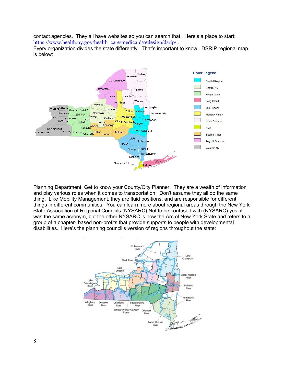contact agencies. They all have websites so you can search that. Here's a place to start: [https://www.health.ny.gov/health\\_care/medicaid/redesign/dsrip/](https://www.health.ny.gov/health_care/medicaid/redesign/dsrip/).

Every organization divides the state differently. That's important to know. DSRIP regional map is below:



Planning Department: Get to know your County/City Planner. They are a wealth of information and play various roles when it comes to transportation. Don't assume they all do the same thing. Like Mobility Management, they are fluid positions, and are responsible for different things in different communities. You can learn more about regional areas through the New York State Association of Regional Councils (NYSARC) Not to be confused with (NYSARC) yes, it was the same acronym, but the other NYSARC is now the Arc of New York State and refers to a group of a chapter- based non-profits that provide supports to people with developmental disabilities. Here's the planning council's version of regions throughout the state:

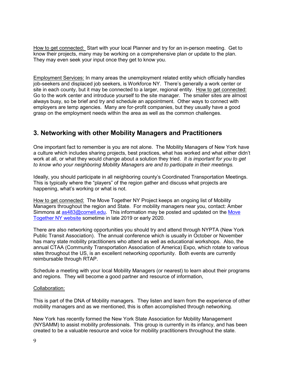How to get connected: Start with your local Planner and try for an in-person meeting. Get to know their projects, many may be working on a comprehensive plan or update to the plan. They may even seek your input once they get to know you.

Employment Services: In many areas the unemployment related entity which officially handles job-seekers and displaced job seekers, is Workforce NY. There's generally a work center or site in each county, but it may be connected to a larger, regional entity. How to get connected: Go to the work center and introduce yourself to the site manager. The smaller sites are almost always busy, so be brief and try and schedule an appointment. Other ways to connect with employers are temp agencies. Many are for-profit companies, but they usually have a good grasp on the employment needs within the area as well as the common challenges.

### **3. Networking with other Mobility Managers and Practitioners**

One important fact to remember is you are not alone. The Mobility Managers of New York have a culture which includes sharing projects, best practices, what has worked and what either didn't work at all, or what they would change about a solution they tried. *It is important for you to get to know who your neighboring Mobility Managers are and to participate in their meetings.*

Ideally, you should participate in all neighboring county's Coordinated Transportation Meetings. This is typically where the "players" of the region gather and discuss what projects are happening, what's working or what is not.

How to get connected: The Move Together NY Project keeps an ongoing list of Mobility Managers throughout the region and State. For mobility managers near you, contact: Amber Simmons at [as483@cornell.edu.](mailto:as483@cornell.edu) This information may be posted and updated on the Move [Together NY website](http://www.movetogetherny.org/) sometime in late 2019 or early 2020.

There are also networking opportunities you should try and attend through NYPTA (New York Public Transit Association). The annual conference which is usually in October or November has many state mobility practitioners who attend as well as educational workshops. Also, the annual CTAA (Community Transportation Association of America) Expo, which rotate to various sites throughout the US, is an excellent networking opportunity. Both events are currently reimbursable through RTAP.

Schedule a meeting with your local Mobility Managers (or nearest) to learn about their programs and regions. They will become a good partner and resource of information,

#### Collaboration:

This is part of the DNA of Mobility managers. They listen and learn from the experience of other mobility managers and as we mentioned, this is often accomplished through networking.

New York has recently formed the New York State Association for Mobility Management (NYSAMM) to assist mobility professionals. This group is currently in its infancy, and has been created to be a valuable resource and voice for mobility practitioners throughout the state.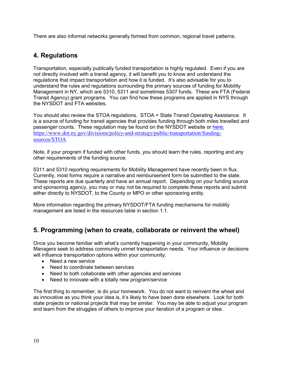There are also informal networks generally formed from common, regional travel patterns.

### **4. Regulations**

Transportation, especially publically funded transportation is highly regulated. Even if you are not directly involved with a transit agency, it will benefit you to know and understand the regulations that impact transportation and how it is funded. It's also advisable for you to understand the rules and regulations surrounding the primary sources of funding for Mobility Management in NY, which are 5310, 5311 and sometimes 5307 funds. These are FTA (Federal Transit Agency) grant programs. You can find how these programs are applied in NYS through the NYSDOT and FTA websites.

You should also review the STOA regulations. STOA = State Transit Operating Assistance. It is a source of funding for transit agencies that provides funding through both miles travelled and passenger counts. These regulation may be found on the NYSDOT website or [here:](https://www.dot.ny.gov/divisions/policy-and-strategy/public-transportation/funding-sources/STOA) [https://www.dot.ny.gov/divisions/policy-and-strategy/public-transportation/funding](https://www.dot.ny.gov/divisions/policy-and-strategy/public-transportation/funding-sources/STOA)[sources/STOA](https://www.dot.ny.gov/divisions/policy-and-strategy/public-transportation/funding-sources/STOA)

Note, if your program if funded with other funds, you should learn the rules, reporting and any other requirements of the funding source.

5311 and 5310 reporting requirements for Mobility Management have recently been in flux. Currently, most forms require a narrative and reimbursement form be submitted to the state. These reports are due quarterly and have an annual report. Depending on your funding source and sponsoring agency, you may or may not be required to complete these reports and submit either directly to NYSDOT, to the County or MPO or other sponsoring entity.

More information regarding the primary NYSDOT/FTA funding mechanisms for mobility management are listed in the resources table in section 1.1.

### **5. Programming (when to create, collaborate or reinvent the wheel)**

Once you become familiar with what's currently happening in your community, Mobility Managers seek to address community unmet transportation needs. Your influence or decisions will influence transportation options within your community:

- Need a new service
- Need to coordinate between services
- Need to both collaborate with other agencies and services
- Need to innovate with a totally new program/service

The first thing to remember, is do your homework. You do not want to reinvent the wheel and as innovative as you think your idea is, it's likely to have been done elsewhere. Look for both state projects or national projects that may be similar. You may be able to adjust your program and learn from the struggles of others to improve your iteration of a program or idea.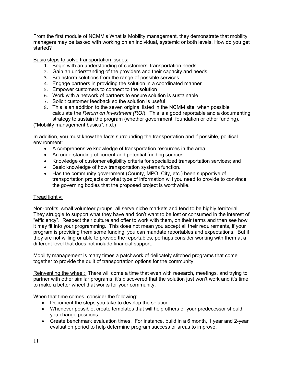From the first module of NCMM's What is Mobility management, they demonstrate that mobility managers may be tasked with working on an individual, systemic or both levels. How do you get started?

Basic steps to solve transportation issues:

- 1. Begin with an understanding of customers' transportation needs
- 2. Gain an understanding of the providers and their capacity and needs
- 3. Brainstorm solutions from the range of possible services
- 4. Engage partners in providing the solution in a coordinated manner
- 5. Empower customers to connect to the solution
- 6. Work with a network of partners to ensure solution is sustainable
- 7. Solicit customer feedback so the solution is useful
- 8. This is an addition to the seven original listed in the NCMM site, when possible calculate the *Return on Investment (ROI*). This is a good reportable and a documenting strategy to sustain the program (whether government, foundation or other funding).

("Mobility management basics", n.d.)

In addition, you must know the facts surrounding the transportation and if possible, political environment:

- A comprehensive knowledge of transportation resources in the area;
- An understanding of current and potential funding sources;
- Knowledge of customer eligibility criteria for specialized transportation services; and
- Basic knowledge of how transportation systems function.
- Has the community government (County, MPO, City, etc.) been supportive of transportation projects or what type of information will you need to provide to convince the governing bodies that the proposed project is worthwhile.

#### Tread lightly:

Non-profits, small volunteer groups, all serve niche markets and tend to be highly territorial. They struggle to support what they have and don't want to be lost or consumed in the interest of "efficiency". Respect their culture and offer to work with them, on their terms and then see how it may fit into your programming. This does not mean you accept all their requirements, if your program is providing them some funding, you can mandate reportables and expectations. But if they are not willing or able to provide the reportables, perhaps consider working with them at a different level that does not include financial support.

Mobility management is many times a patchwork of delicately stitched programs that come together to provide the quilt of transportation options for the community.

Reinventing the wheel: There will come a time that even with research, meetings, and trying to partner with other similar programs, it's discovered that the solution just won't work and it's time to make a better wheel that works for your community.

When that time comes, consider the following:

- Document the steps you take to develop the solution
- Whenever possible, create templates that will help others or your predecessor should you change positions
- Create benchmark evaluation times. For instance, build in a 6 month, 1 year and 2-year evaluation period to help determine program success or areas to improve.